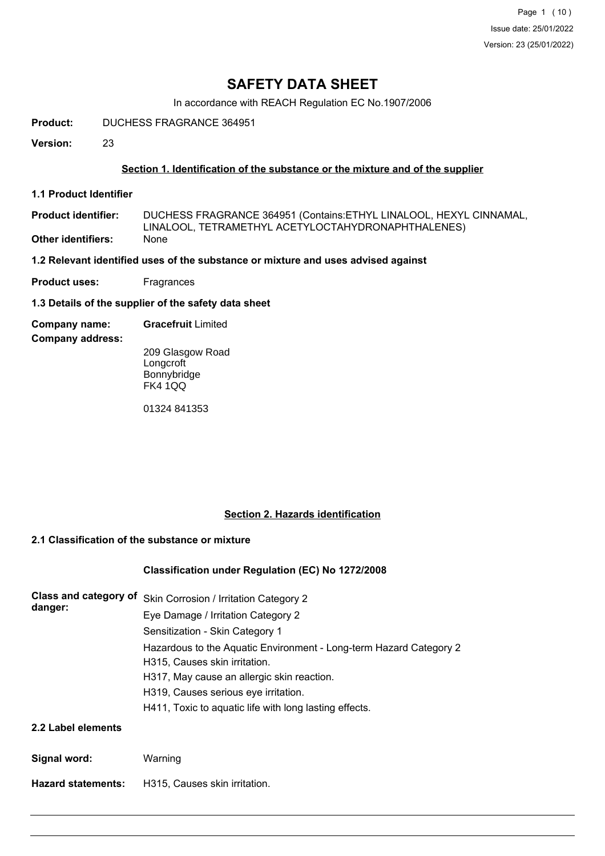Page 1 (10) Issue date: 25/01/2022 Version: 23 (25/01/2022)

# **SAFETY DATA SHEET**

In accordance with REACH Regulation EC No.1907/2006

**Product:** DUCHESS FRAGRANCE 364951

**Version:** 23

### **Section 1. Identification of the substance or the mixture and of the supplier**

**1.1 Product Identifier**

DUCHESS FRAGRANCE 364951 (Contains:ETHYL LINALOOL, HEXYL CINNAMAL, LINALOOL, TETRAMETHYL ACETYLOCTAHYDRONAPHTHALENES) **Product identifier: Other identifiers:** None

**1.2 Relevant identified uses of the substance or mixture and uses advised against**

**Product uses:** Fragrances

**1.3 Details of the supplier of the safety data sheet**

**Company name: Gracefruit** Limited

**Company address:**

209 Glasgow Road **Longcroft** Bonnybridge FK4 1QQ

01324 841353

## **Section 2. Hazards identification**

### **2.1 Classification of the substance or mixture**

#### **Classification under Regulation (EC) No 1272/2008**

| Class and category of<br>danger: | Skin Corrosion / Irritation Category 2                             |
|----------------------------------|--------------------------------------------------------------------|
|                                  | Eye Damage / Irritation Category 2                                 |
|                                  | Sensitization - Skin Category 1                                    |
|                                  | Hazardous to the Aquatic Environment - Long-term Hazard Category 2 |
|                                  | H315, Causes skin irritation.                                      |
|                                  | H317, May cause an allergic skin reaction.                         |
|                                  | H319, Causes serious eye irritation.                               |
|                                  | H411, Toxic to aquatic life with long lasting effects.             |
| 2.2 Label elements               |                                                                    |

**Signal word:** Warning

**Hazard statements:** H315, Causes skin irritation.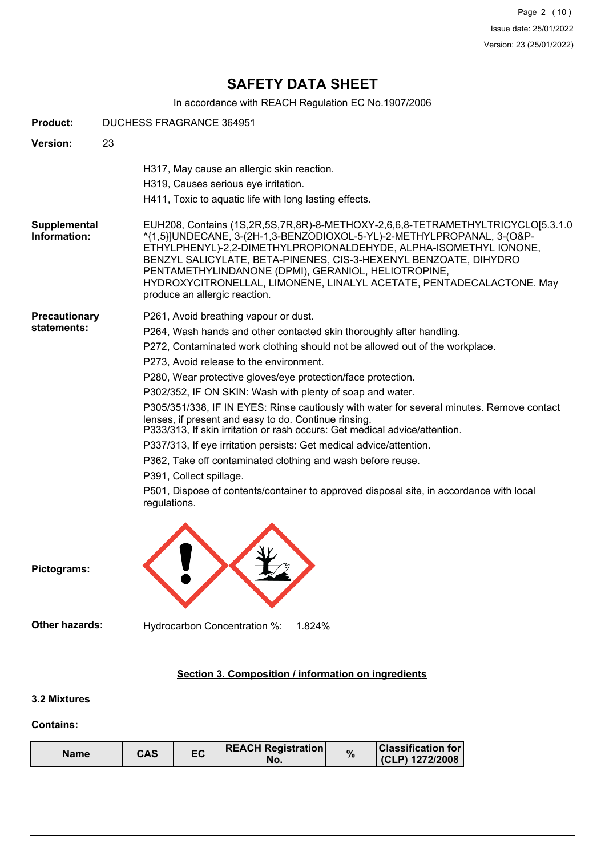Page 2 (10) Issue date: 25/01/2022 Version: 23 (25/01/2022)

# **SAFETY DATA SHEET**

In accordance with REACH Regulation EC No.1907/2006

| <b>Product:</b>                     | DUCHESS FRAGRANCE 364951                                                                                                                                                                                                                                                                                                                                                                                                                                                                                                                                                                                                                                                                                                                                                                                                                                                             |
|-------------------------------------|--------------------------------------------------------------------------------------------------------------------------------------------------------------------------------------------------------------------------------------------------------------------------------------------------------------------------------------------------------------------------------------------------------------------------------------------------------------------------------------------------------------------------------------------------------------------------------------------------------------------------------------------------------------------------------------------------------------------------------------------------------------------------------------------------------------------------------------------------------------------------------------|
| <b>Version:</b>                     | 23                                                                                                                                                                                                                                                                                                                                                                                                                                                                                                                                                                                                                                                                                                                                                                                                                                                                                   |
|                                     | H317, May cause an allergic skin reaction.<br>H319, Causes serious eye irritation.<br>H411, Toxic to aquatic life with long lasting effects.                                                                                                                                                                                                                                                                                                                                                                                                                                                                                                                                                                                                                                                                                                                                         |
| Supplemental<br>Information:        | EUH208, Contains (1S,2R,5S,7R,8R)-8-METHOXY-2,6,6,8-TETRAMETHYLTRICYCLO[5.3.1.0<br>^{1,5}]UNDECANE, 3-(2H-1,3-BENZODIOXOL-5-YL)-2-METHYLPROPANAL, 3-(O&P-<br>ETHYLPHENYL)-2,2-DIMETHYLPROPIONALDEHYDE, ALPHA-ISOMETHYL IONONE,<br>BENZYL SALICYLATE, BETA-PINENES, CIS-3-HEXENYL BENZOATE, DIHYDRO<br>PENTAMETHYLINDANONE (DPMI), GERANIOL, HELIOTROPINE,<br>HYDROXYCITRONELLAL, LIMONENE, LINALYL ACETATE, PENTADECALACTONE. May<br>produce an allergic reaction.                                                                                                                                                                                                                                                                                                                                                                                                                   |
| <b>Precautionary</b><br>statements: | P261, Avoid breathing vapour or dust.<br>P264, Wash hands and other contacted skin thoroughly after handling.<br>P272, Contaminated work clothing should not be allowed out of the workplace.<br>P273, Avoid release to the environment.<br>P280, Wear protective gloves/eye protection/face protection.<br>P302/352, IF ON SKIN: Wash with plenty of soap and water.<br>P305/351/338, IF IN EYES: Rinse cautiously with water for several minutes. Remove contact<br>lenses, if present and easy to do. Continue rinsing.<br>P333/313, If skin irritation or rash occurs: Get medical advice/attention.<br>P337/313, If eye irritation persists: Get medical advice/attention.<br>P362, Take off contaminated clothing and wash before reuse.<br>P391, Collect spillage.<br>P501, Dispose of contents/container to approved disposal site, in accordance with local<br>regulations. |
| Pictograms:                         |                                                                                                                                                                                                                                                                                                                                                                                                                                                                                                                                                                                                                                                                                                                                                                                                                                                                                      |
| <b>Other hazards:</b>               | Hydrocarbon Concentration %:<br>1.824%                                                                                                                                                                                                                                                                                                                                                                                                                                                                                                                                                                                                                                                                                                                                                                                                                                               |
|                                     | Section 3. Composition / information on ingredients                                                                                                                                                                                                                                                                                                                                                                                                                                                                                                                                                                                                                                                                                                                                                                                                                                  |

## **3.2 Mixtures**

### **Contains:**

| CAS<br>Name | ЕC | <b>REACH Registration</b><br>NO. |  | <b>∣Classification for</b> I<br>(CLP) 1272/2008 |
|-------------|----|----------------------------------|--|-------------------------------------------------|
|-------------|----|----------------------------------|--|-------------------------------------------------|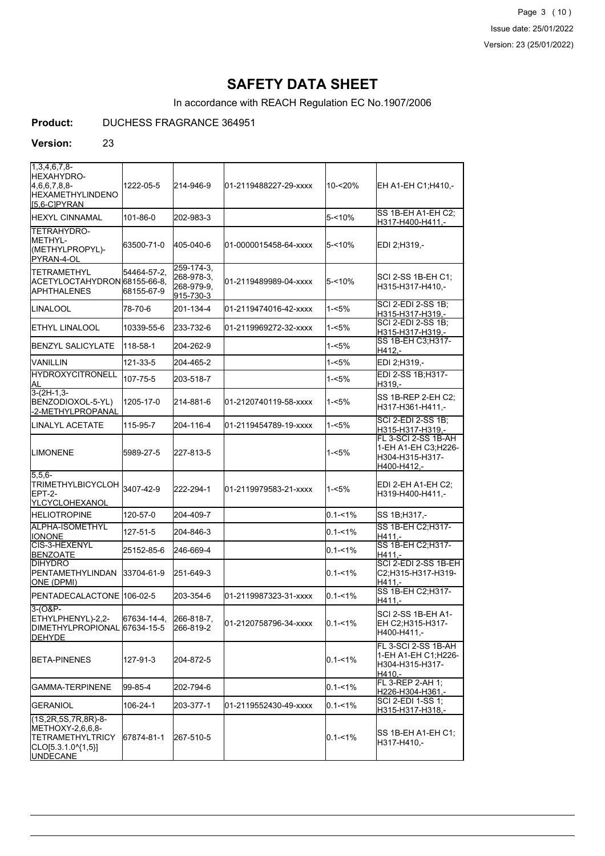Page 3 (10) Issue date: 25/01/2022 Version: 23 (25/01/2022)

# **SAFETY DATA SHEET**

In accordance with REACH Regulation EC No.1907/2006

## **Product:** DUCHESS FRAGRANCE 364951

#### **Version:** 23

| 11.3.4.6.7.8-<br> HEXAHYDRO-<br>$4,6,6,7,8,8$ -<br><b>HEXAMETHYLINDENO</b><br>$[5,6-C]$ PYRAN                            | 1222-05-5                 | 214-946-9                                           | 01-2119488227-29-xxxx | 10-<20%     | EH A1-EH C1;H410,-                                                           |
|--------------------------------------------------------------------------------------------------------------------------|---------------------------|-----------------------------------------------------|-----------------------|-------------|------------------------------------------------------------------------------|
| <b>I</b> HEXYL CINNAMAL                                                                                                  | 101-86-0                  | 202-983-3                                           |                       | $5 - 10%$   | SS 1B-EH A1-EH C2;<br>H317-H400-H411,-                                       |
| <b>TETRAHYDRO-</b><br>IMETHYL-<br>(METHYLPROPYL)-<br>PYRAN-4-OL                                                          | 63500-71-0                | 405-040-6                                           | 01-0000015458-64-xxxx | $5 - 10%$   | EDI 2;H319,-                                                                 |
| ITETRAMETHYL<br>ACETYLOCTAHYDRON 68155-66-8.<br><b>JAPHTHALENES</b>                                                      | 54464-57-2.<br>68155-67-9 | 259-174-3.<br>268-978-3.<br>268-979-9,<br>915-730-3 | 01-2119489989-04-xxxx | $5 - 10%$   | SCI 2-SS 1B-EH C1:<br>H315-H317-H410.-                                       |
| ILINALOOL                                                                                                                | 78-70-6                   | 201-134-4                                           | 01-2119474016-42-xxxx | 1-<5%       | <b>SCI 2-EDI 2-SS 1B:</b><br>H315-H317-H319,-                                |
| <b>I</b> ETHYL LINALOOL                                                                                                  | 10339-55-6                | 233-732-6                                           | 01-2119969272-32-xxxx | $1 - 5%$    | <b>SCI 2-EDI 2-SS 1B:</b><br>H315-H317-H319,-                                |
| <b>I</b> BENZYL SALICYLATE                                                                                               | 118-58-1                  | 204-262-9                                           |                       | 1-<5%       | SS 1B-EH C3;H317-<br>H412.-                                                  |
| IVANILLIN                                                                                                                | 121-33-5                  | 204-465-2                                           |                       | 1-<5%       | EDI 2;H319,-                                                                 |
| <b>HYDROXYCITRONELL</b><br>ΙAL                                                                                           | 107-75-5                  | 203-518-7                                           |                       | 1-<5%       | EDI 2-SS 1B:H317-<br>H319,-                                                  |
| $3-(2H-1.3-$<br>BENZODIOXOL-5-YL)<br>-2-METHYLPROPANAL                                                                   | 1205-17-0                 | 214-881-6                                           | 01-2120740119-58-xxxx | 1-<5%       | SS 1B-REP 2-EH C2;<br>H317-H361-H411,-                                       |
| <b>I</b> LINALYL ACETATE                                                                                                 | 115-95-7                  | 204-116-4                                           | 01-2119454789-19-xxxx | $1 - 5%$    | SCI 2-EDI 2-SS 1B:<br>H315-H317-H319,-                                       |
| <b>LIMONENE</b>                                                                                                          | 5989-27-5                 | 227-813-5                                           |                       | 1-<5%       | FL 3-SCI 2-SS 1B-AH<br>1-EH A1-EH C3;H226-<br>H304-H315-H317-<br>H400-H412,- |
| $5,5,6-$<br><b>TRIMETHYLBICYCLOH</b><br>IEPT-2-<br>YLCYCLOHEXANOL                                                        | 3407-42-9                 | 222-294-1                                           | 01-2119979583-21-xxxx | 1-<5%       | EDI 2-EH A1-EH C2:<br>H319-H400-H411,-                                       |
| <b>I</b> HELIOTROPINE                                                                                                    | 120-57-0                  | 204-409-7                                           |                       | $0.1 - 1\%$ | SS 1B;H317,-                                                                 |
| ALPHA-ISOMETHYL<br><b>IIONONE</b>                                                                                        | 127-51-5                  | 204-846-3                                           |                       | $0.1 - 1\%$ | SS 1B-EH C2; H317-<br>H411.-                                                 |
| <b>I</b> CIS-3-HEXENYL<br><b>BENZOATE</b>                                                                                | 25152-85-6                | 246-669-4                                           |                       | $0.1 - 1\%$ | SS 1B-EH C2; H317-<br>H411.-                                                 |
| <b>I</b> DIHYDRO<br>PENTAMETHYLINDAN<br>ONE (DPMI)                                                                       | 33704-61-9                | 251-649-3                                           |                       | $0.1 - 1\%$ | SCI 2-EDI 2-SS 1B-EH<br>C2;H315-H317-H319-<br>H411,-                         |
| PENTADECALACTONE 106-02-5                                                                                                |                           | 203-354-6                                           | 01-2119987323-31-xxxx | $0.1 - 1\%$ | SS 1B-EH C2; H317-<br>H411,-                                                 |
| 3-(O&P-<br>ETHYLPHENYL)-2,2-<br>DIMETHYLPROPIONAL 67634-15-5<br><b>DEHYDE</b>                                            | 67634-14-4,               | 266-818-7.<br>266-819-2                             | 01-2120758796-34-xxxx | $0.1 - 1%$  | SCI 2-SS 1B-EH A1-<br>EH C2;H315-H317-<br>H400-H411,-                        |
| BETA-PINENES                                                                                                             | 127-91-3                  | 204-872-5                                           |                       | $0.1 - 1\%$ | FL 3-SCI 2-SS 1B-AH<br>1-EH A1-EH C1; H226-<br>H304-H315-H317-<br>H410,-     |
| <b>I</b> GAMMA-TERPINENE                                                                                                 | 99-85-4                   | 202-794-6                                           |                       | $0.1 - 1\%$ | FL 3-REP 2-AH 1;<br>H226-H304-H361,-                                         |
| <b>I</b> GERANIOL                                                                                                        | 106-24-1                  | 203-377-1                                           | 01-2119552430-49-xxxx | $0.1 - 1%$  | SCI 2-EDI 1-SS 1;<br>H315-H317-H318,-                                        |
| $(1S, 2R, 5S, 7R, 8R)$ -8-<br>METHOXY-2,6,6,8-<br><b>TETRAMETHYLTRICY</b><br>$[CLO[5.3.1.0^{4}(1,5)]$<br><b>UNDECANE</b> | 67874-81-1                | 267-510-5                                           |                       | $0.1 - 1\%$ | SS 1B-EH A1-EH C1;<br>H317-H410,-                                            |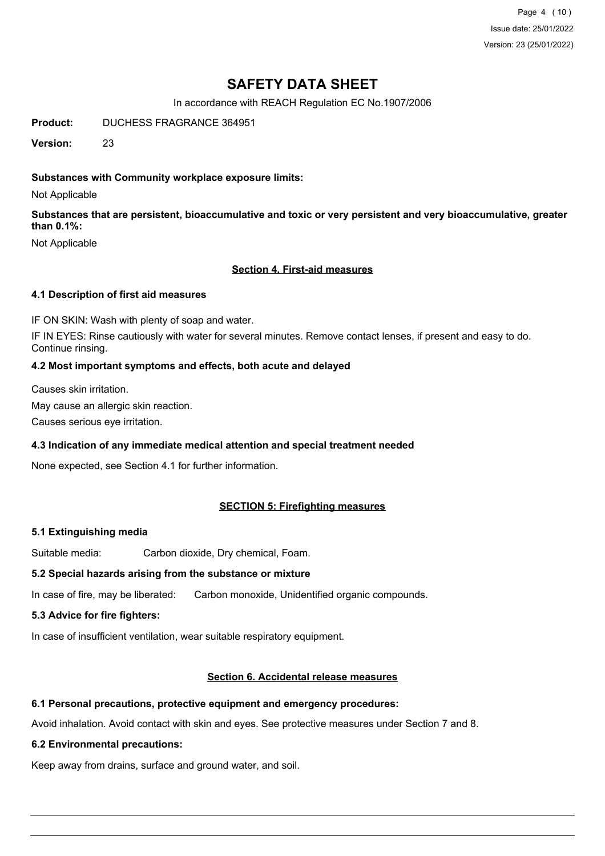Page 4 (10) Issue date: 25/01/2022 Version: 23 (25/01/2022)

# **SAFETY DATA SHEET**

In accordance with REACH Regulation EC No.1907/2006

Product: DUCHESS FRAGRANCE 364951

**Version:** 23

## **Substances with Community workplace exposure limits:**

Not Applicable

**Substances that are persistent, bioaccumulative and toxic or very persistent and very bioaccumulative, greater than 0.1%:**

Not Applicable

#### **Section 4. First-aid measures**

#### **4.1 Description of first aid measures**

IF ON SKIN: Wash with plenty of soap and water.

IF IN EYES: Rinse cautiously with water for several minutes. Remove contact lenses, if present and easy to do. Continue rinsing.

#### **4.2 Most important symptoms and effects, both acute and delayed**

Causes skin irritation.

May cause an allergic skin reaction.

Causes serious eye irritation.

#### **4.3 Indication of any immediate medical attention and special treatment needed**

None expected, see Section 4.1 for further information.

### **SECTION 5: Firefighting measures**

### **5.1 Extinguishing media**

Suitable media: Carbon dioxide, Dry chemical, Foam.

#### **5.2 Special hazards arising from the substance or mixture**

In case of fire, may be liberated: Carbon monoxide, Unidentified organic compounds.

#### **5.3 Advice for fire fighters:**

In case of insufficient ventilation, wear suitable respiratory equipment.

### **Section 6. Accidental release measures**

#### **6.1 Personal precautions, protective equipment and emergency procedures:**

Avoid inhalation. Avoid contact with skin and eyes. See protective measures under Section 7 and 8.

#### **6.2 Environmental precautions:**

Keep away from drains, surface and ground water, and soil.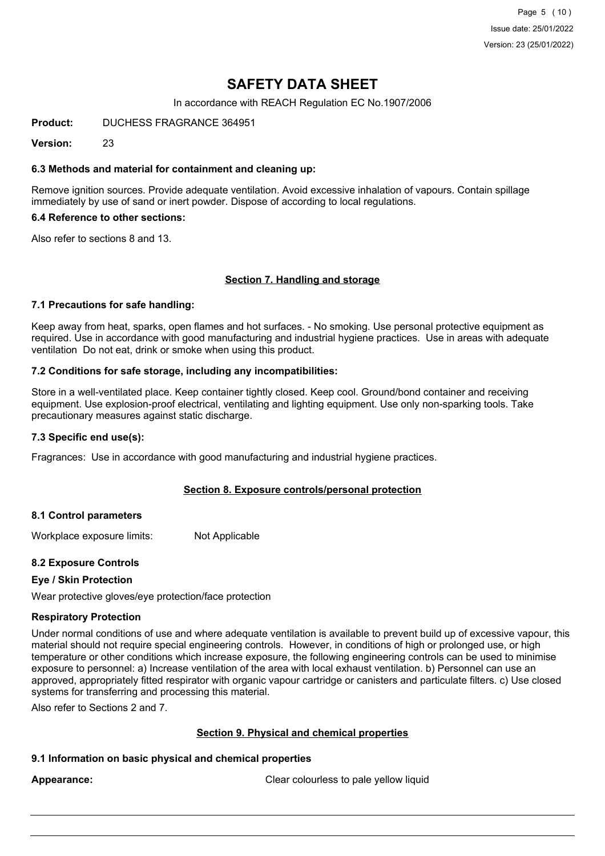Page 5 (10) Issue date: 25/01/2022 Version: 23 (25/01/2022)

# **SAFETY DATA SHEET**

In accordance with REACH Regulation EC No.1907/2006

**Product:** DUCHESS FRAGRANCE 364951

**Version:** 23

#### **6.3 Methods and material for containment and cleaning up:**

Remove ignition sources. Provide adequate ventilation. Avoid excessive inhalation of vapours. Contain spillage immediately by use of sand or inert powder. Dispose of according to local regulations.

#### **6.4 Reference to other sections:**

Also refer to sections 8 and 13.

#### **Section 7. Handling and storage**

#### **7.1 Precautions for safe handling:**

Keep away from heat, sparks, open flames and hot surfaces. - No smoking. Use personal protective equipment as required. Use in accordance with good manufacturing and industrial hygiene practices. Use in areas with adequate ventilation Do not eat, drink or smoke when using this product.

#### **7.2 Conditions for safe storage, including any incompatibilities:**

Store in a well-ventilated place. Keep container tightly closed. Keep cool. Ground/bond container and receiving equipment. Use explosion-proof electrical, ventilating and lighting equipment. Use only non-sparking tools. Take precautionary measures against static discharge.

#### **7.3 Specific end use(s):**

Fragrances: Use in accordance with good manufacturing and industrial hygiene practices.

#### **Section 8. Exposure controls/personal protection**

#### **8.1 Control parameters**

Workplace exposure limits: Not Applicable

#### **8.2 Exposure Controls**

#### **Eye / Skin Protection**

Wear protective gloves/eye protection/face protection

#### **Respiratory Protection**

Under normal conditions of use and where adequate ventilation is available to prevent build up of excessive vapour, this material should not require special engineering controls. However, in conditions of high or prolonged use, or high temperature or other conditions which increase exposure, the following engineering controls can be used to minimise exposure to personnel: a) Increase ventilation of the area with local exhaust ventilation. b) Personnel can use an approved, appropriately fitted respirator with organic vapour cartridge or canisters and particulate filters. c) Use closed systems for transferring and processing this material.

Also refer to Sections 2 and 7.

#### **Section 9. Physical and chemical properties**

#### **9.1 Information on basic physical and chemical properties**

Appearance: **Clear colourless to pale yellow liquid** Clear colourless to pale yellow liquid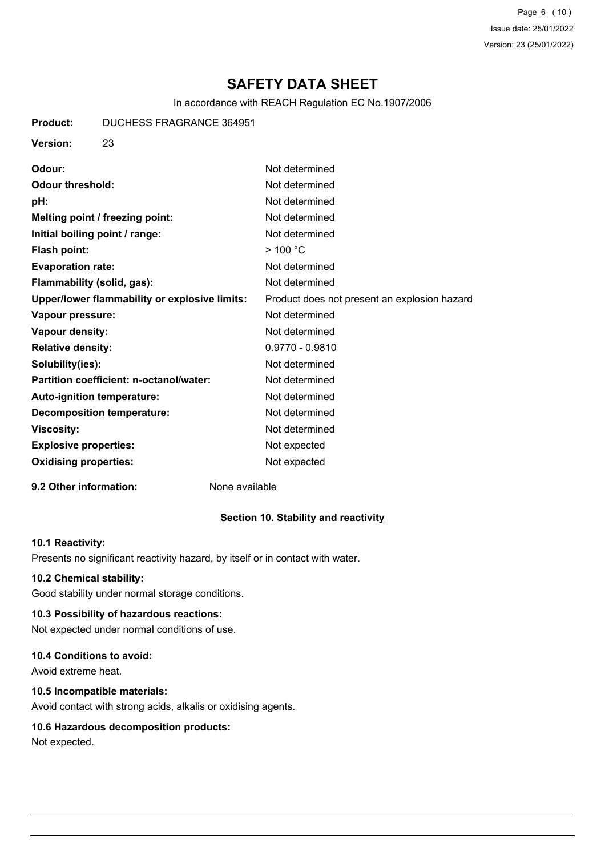Page 6 (10) Issue date: 25/01/2022 Version: 23 (25/01/2022)

# **SAFETY DATA SHEET**

In accordance with REACH Regulation EC No.1907/2006

**Product:** DUCHESS FRAGRANCE 364951

## **Version:** 23

| Not determined                               |
|----------------------------------------------|
| Not determined                               |
| Not determined                               |
| Not determined                               |
| Not determined                               |
| $>$ 100 °C                                   |
| Not determined                               |
| Not determined                               |
| Product does not present an explosion hazard |
| Not determined                               |
| Not determined                               |
| $0.9770 - 0.9810$                            |
| Not determined                               |
| Not determined                               |
| Not determined                               |
| Not determined                               |
| Not determined                               |
| Not expected                                 |
| Not expected                                 |
|                                              |

### **9.2 Other information:** None available

### **Section 10. Stability and reactivity**

#### **10.1 Reactivity:**

Presents no significant reactivity hazard, by itself or in contact with water.

#### **10.2 Chemical stability:**

Good stability under normal storage conditions.

### **10.3 Possibility of hazardous reactions:**

Not expected under normal conditions of use.

### **10.4 Conditions to avoid:**

Avoid extreme heat.

### **10.5 Incompatible materials:**

Avoid contact with strong acids, alkalis or oxidising agents.

#### **10.6 Hazardous decomposition products:**

Not expected.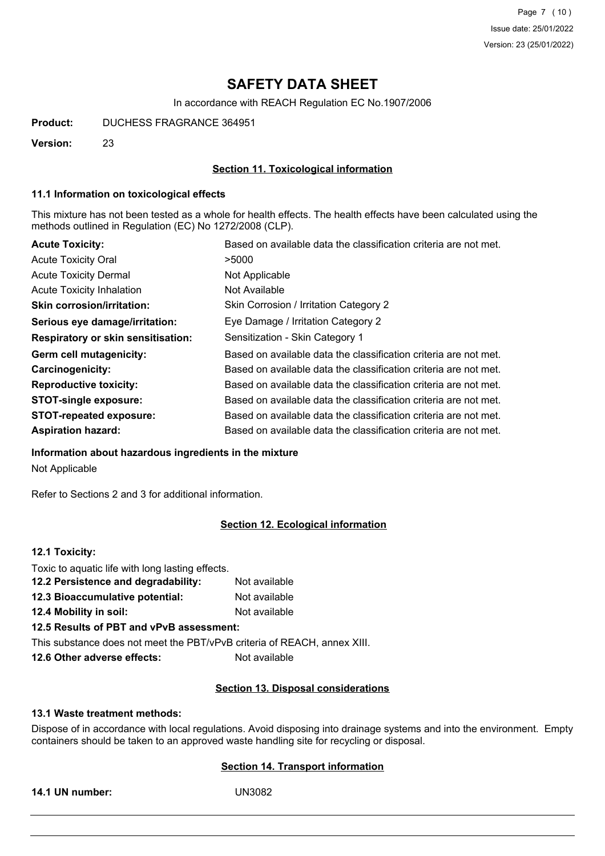Page 7 (10) Issue date: 25/01/2022 Version: 23 (25/01/2022)

# **SAFETY DATA SHEET**

In accordance with REACH Regulation EC No.1907/2006

**Product:** DUCHESS FRAGRANCE 364951

**Version:** 23

### **Section 11. Toxicological information**

#### **11.1 Information on toxicological effects**

This mixture has not been tested as a whole for health effects. The health effects have been calculated using the methods outlined in Regulation (EC) No 1272/2008 (CLP).

| <b>Acute Toxicity:</b>                    | Based on available data the classification criteria are not met. |
|-------------------------------------------|------------------------------------------------------------------|
| <b>Acute Toxicity Oral</b>                | >5000                                                            |
| <b>Acute Toxicity Dermal</b>              | Not Applicable                                                   |
| <b>Acute Toxicity Inhalation</b>          | Not Available                                                    |
| <b>Skin corrosion/irritation:</b>         | Skin Corrosion / Irritation Category 2                           |
| Serious eye damage/irritation:            | Eye Damage / Irritation Category 2                               |
| <b>Respiratory or skin sensitisation:</b> | Sensitization - Skin Category 1                                  |
| Germ cell mutagenicity:                   | Based on available data the classification criteria are not met. |
| <b>Carcinogenicity:</b>                   | Based on available data the classification criteria are not met. |
| <b>Reproductive toxicity:</b>             | Based on available data the classification criteria are not met. |
| <b>STOT-single exposure:</b>              | Based on available data the classification criteria are not met. |
| <b>STOT-repeated exposure:</b>            | Based on available data the classification criteria are not met. |
| <b>Aspiration hazard:</b>                 | Based on available data the classification criteria are not met. |

#### **Information about hazardous ingredients in the mixture**

Not Applicable

Refer to Sections 2 and 3 for additional information.

#### **Section 12. Ecological information**

## **12.1 Toxicity:**

| Toxic to aquatic life with long lasting effects.                         |               |
|--------------------------------------------------------------------------|---------------|
| 12.2 Persistence and degradability:                                      | Not available |
| 12.3 Bioaccumulative potential:                                          | Not available |
| <b>12.4 Mobility in soil:</b>                                            | Not available |
| 12.5 Results of PBT and vPvB assessment:                                 |               |
| This substance does not meet the PBT/vPvB criteria of REACH, annex XIII. |               |
| 12 6 Othor advorse offects                                               | Not available |

**12.6 Other adverse effects: N**ot available

#### **Section 13. Disposal considerations**

#### **13.1 Waste treatment methods:**

Dispose of in accordance with local regulations. Avoid disposing into drainage systems and into the environment. Empty containers should be taken to an approved waste handling site for recycling or disposal.

## **Section 14. Transport information**

**14.1 UN number:** UN3082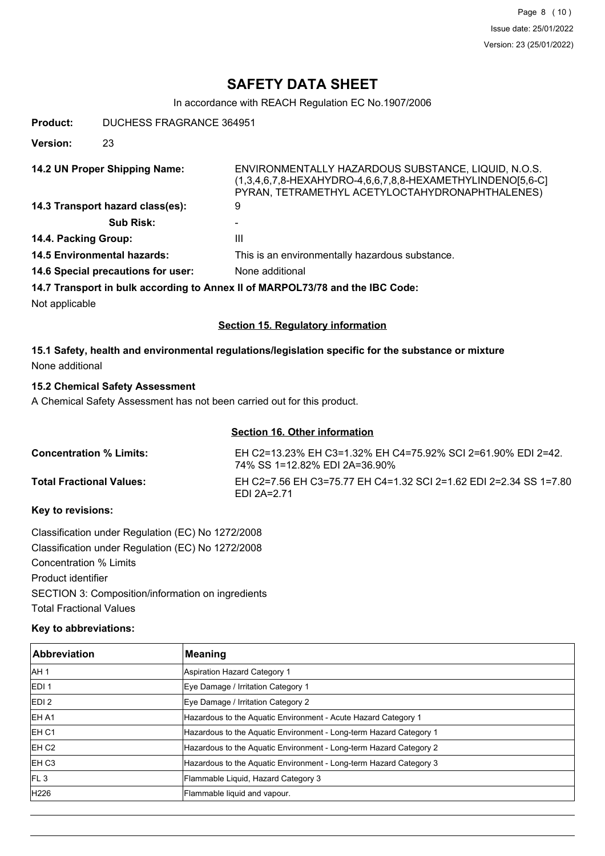# **SAFETY DATA SHEET**

In accordance with REACH Regulation EC No.1907/2006

**Product:** DUCHESS FRAGRANCE 364951

**Version:** 23

**14.2 UN Proper Shipping Name:** ENVIRONMENTALLY HAZARDOUS SUBSTANCE, LIQUID, N.O.S. (1,3,4,6,7,8-HEXAHYDRO-4,6,6,7,8,8-HEXAMETHYLINDENO[5,6-C] PYRAN, TETRAMETHYL ACETYLOCTAHYDRONAPHTHALENES) **14.3 Transport hazard class(es):** 9 Sub Risk: **14.4. Packing Group:** III **14.5 Environmental hazards:** This is an environmentally hazardous substance. 14.6 Special precautions for user: None additional **14.7 Transport in bulk according to Annex II of MARPOL73/78 and the IBC Code:**

Not applicable

#### **Section 15. Regulatory information**

## **15.1 Safety, health and environmental regulations/legislation specific for the substance or mixture** None additional

## **15.2 Chemical Safety Assessment**

A Chemical Safety Assessment has not been carried out for this product.

### **Section 16. Other information**

| <b>Concentration % Limits:</b>  | EH C2=13.23% EH C3=1.32% EH C4=75.92% SCI 2=61.90% EDI 2=42.<br>74% SS 1=12.82% EDI 2A=36.90% |
|---------------------------------|-----------------------------------------------------------------------------------------------|
| <b>Total Fractional Values:</b> | EH C2=7.56 EH C3=75.77 EH C4=1.32 SCI 2=1.62 EDI 2=2.34 SS 1=7.80<br><b>FDI 2A=2.71</b>       |

#### **Key to revisions:**

Classification under Regulation (EC) No 1272/2008 Classification under Regulation (EC) No 1272/2008 Concentration % Limits Product identifier SECTION 3: Composition/information on ingredients Total Fractional Values

### **Key to abbreviations:**

| Abbreviation      | <b>Meaning</b>                                                     |
|-------------------|--------------------------------------------------------------------|
| IAH 1             | Aspiration Hazard Category 1                                       |
| <b>EDI1</b>       | Eye Damage / Irritation Category 1                                 |
| EDI <sub>2</sub>  | Eye Damage / Irritation Category 2                                 |
| <b>EHA1</b>       | Hazardous to the Aquatic Environment - Acute Hazard Category 1     |
| IEH C1            | Hazardous to the Aquatic Environment - Long-term Hazard Category 1 |
| EH C <sub>2</sub> | Hazardous to the Aquatic Environment - Long-term Hazard Category 2 |
| <b>EH C3</b>      | Hazardous to the Aquatic Environment - Long-term Hazard Category 3 |
| FL3               | Flammable Liquid, Hazard Category 3                                |
| H226              | Flammable liquid and vapour.                                       |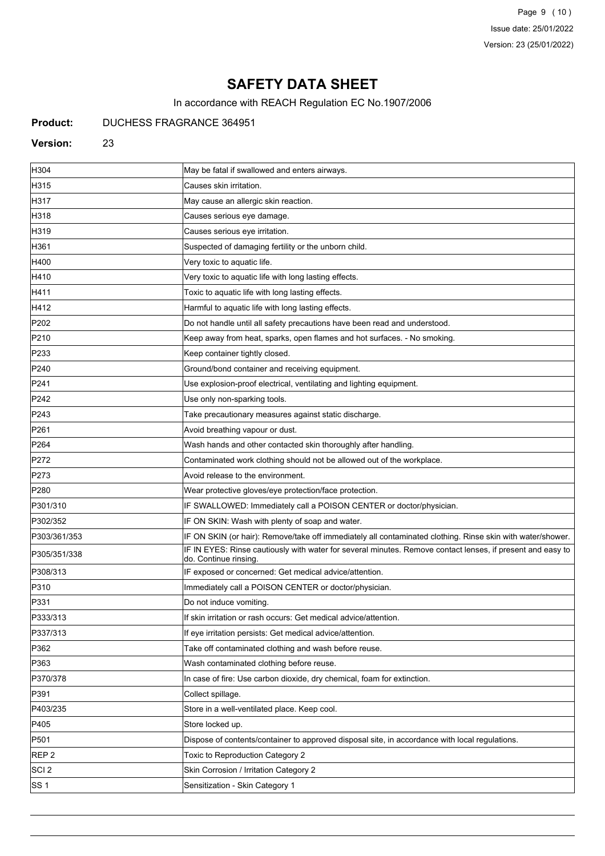Page 9 (10) Issue date: 25/01/2022 Version: 23 (25/01/2022)

# **SAFETY DATA SHEET**

In accordance with REACH Regulation EC No.1907/2006

## **Product:** DUCHESS FRAGRANCE 364951

#### **Version:** 23

| H304             | May be fatal if swallowed and enters airways.                                                                                       |
|------------------|-------------------------------------------------------------------------------------------------------------------------------------|
| H315             | Causes skin irritation.                                                                                                             |
| H317             | May cause an allergic skin reaction.                                                                                                |
| H318             | Causes serious eye damage.                                                                                                          |
| H319             | Causes serious eye irritation.                                                                                                      |
| H361             | Suspected of damaging fertility or the unborn child.                                                                                |
| H400             | Very toxic to aquatic life.                                                                                                         |
| H410             | Very toxic to aquatic life with long lasting effects.                                                                               |
| H411             | Toxic to aquatic life with long lasting effects.                                                                                    |
| H412             | Harmful to aquatic life with long lasting effects.                                                                                  |
| P202             | Do not handle until all safety precautions have been read and understood.                                                           |
| P210             | Keep away from heat, sparks, open flames and hot surfaces. - No smoking.                                                            |
| P233             | Keep container tightly closed.                                                                                                      |
| P240             | Ground/bond container and receiving equipment.                                                                                      |
| P241             | Use explosion-proof electrical, ventilating and lighting equipment.                                                                 |
| P242             | Use only non-sparking tools.                                                                                                        |
| P243             | Take precautionary measures against static discharge.                                                                               |
| P261             | Avoid breathing vapour or dust.                                                                                                     |
| P <sub>264</sub> | Wash hands and other contacted skin thoroughly after handling.                                                                      |
| P272             | Contaminated work clothing should not be allowed out of the workplace.                                                              |
| P273             | Avoid release to the environment.                                                                                                   |
| P <sub>280</sub> | Wear protective gloves/eye protection/face protection.                                                                              |
| P301/310         | IF SWALLOWED: Immediately call a POISON CENTER or doctor/physician.                                                                 |
| P302/352         | IF ON SKIN: Wash with plenty of soap and water.                                                                                     |
| P303/361/353     | IF ON SKIN (or hair): Remove/take off immediately all contaminated clothing. Rinse skin with water/shower.                          |
| P305/351/338     | IF IN EYES: Rinse cautiously with water for several minutes. Remove contact lenses, if present and easy to<br>do. Continue rinsing. |
| P308/313         | IF exposed or concerned: Get medical advice/attention.                                                                              |
| P310             | Immediately call a POISON CENTER or doctor/physician.                                                                               |
| P331             | Do not induce vomiting.                                                                                                             |
| P333/313         | If skin irritation or rash occurs: Get medical advice/attention.                                                                    |
| P337/313         | If eye irritation persists: Get medical advice/attention.                                                                           |
| P362             | Take off contaminated clothing and wash before reuse.                                                                               |
| P363             | Wash contaminated clothing before reuse.                                                                                            |
| P370/378         | In case of fire: Use carbon dioxide, dry chemical, foam for extinction.                                                             |
| P391             | Collect spillage.                                                                                                                   |
| P403/235         | Store in a well-ventilated place. Keep cool.                                                                                        |
| P405             | Store locked up.                                                                                                                    |
| P501             | Dispose of contents/container to approved disposal site, in accordance with local regulations.                                      |
| REP 2            | Toxic to Reproduction Category 2                                                                                                    |
| SCI <sub>2</sub> | Skin Corrosion / Irritation Category 2                                                                                              |
| SS 1             | Sensitization - Skin Category 1                                                                                                     |